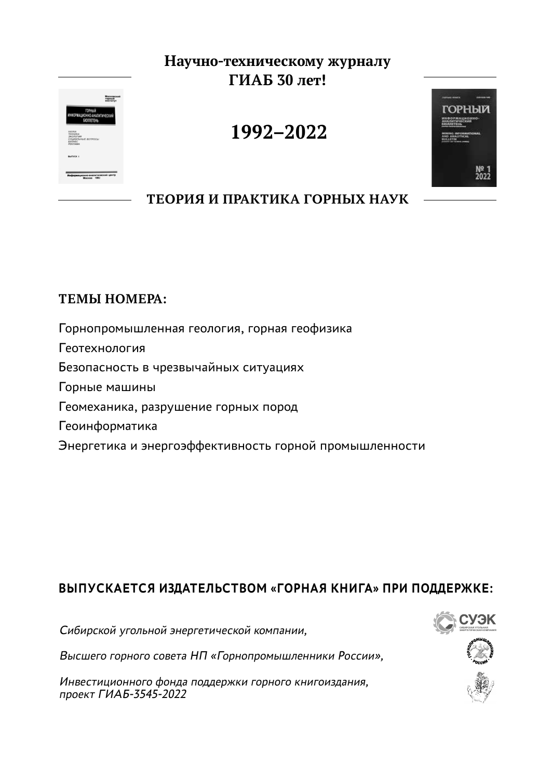## **Научно-техническому журналу ГИАБ 30 лет!**



# **1992–2022**



**ТЕОРИЯ И ПРАКТИКА ГОРНЫХ НАУК**

## **ТЕМЫ НОМЕРА:**

Горнопромышленная геология, горная геофизика Геотехнология Безопасность в чрезвычайных ситуациях Горные машины Геомеханика, разрушение горных пород Геоинформатика Энергетика и энергоэффективность горной промышленности

## **ВЫПУСКАЕТСЯ ИЗДАТЕЛЬСТВОМ «ГОРНАЯ КНИГА» ПРИ ПОДДЕРЖКЕ:**

Сибирской угольной энергетической компании,

Высшего горного совета НП «Горнопромышленники России»,

Инвестиционного фонда поддержки горного книгоиздания, проект ГИАБ-3545-2022

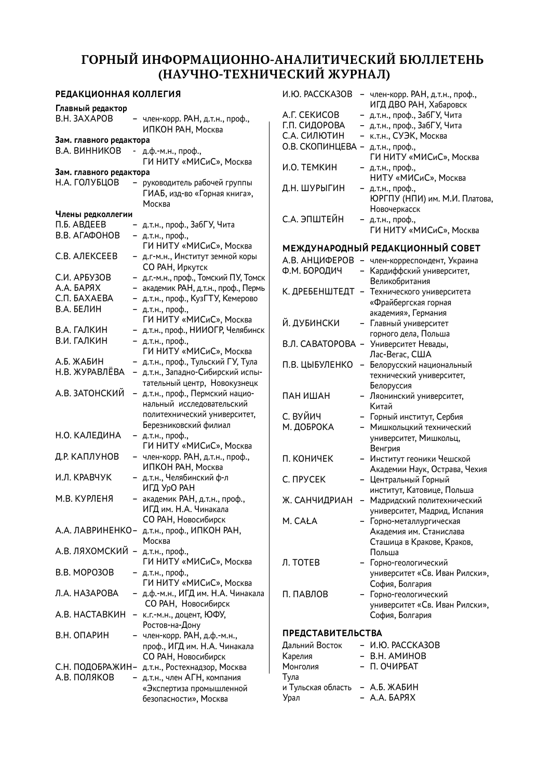### **ГОРНЫЙ ИНФОРМАЦИОННО-АНАЛИТИЧЕСКИЙ БЮЛЛЕТЕНЬ (НАУЧНО-ТЕХНИЧЕСКИЙ ЖУРНАЛ)**

| РЕДАКЦИОННАЯ КОЛЛЕГИЯ             |                                                                   | <b><i>И.Ю. РАССКАЗОВ</i></b>     | - член-корр. РАН, д.т.н., проф.,                                  |
|-----------------------------------|-------------------------------------------------------------------|----------------------------------|-------------------------------------------------------------------|
| Главный редактор                  |                                                                   |                                  | ИГД ДВО РАН, Хабаровск                                            |
| B.H. 3AXAPOB                      | - член-корр. РАН, д.т.н., проф.,                                  | A.F. CEKNCOB                     | - д.т.н., проф., ЗабГУ, Чита                                      |
|                                   | ИПКОН РАН, Москва                                                 | Г.П. СИДОРОВА                    | – д.т.н., проф., ЗабГУ, Чита                                      |
| Зам. главного редактора           |                                                                   | С.А. СИЛЮТИН                     | - к.т.н., СУЭК, Москва                                            |
| В.А. ВИННИКОВ                     | - д.ф.-м.н., проф.,<br>ГИ НИТУ «МИСиС», Москва                    | О.В. СКОПИНЦЕВА - д.т.н., проф., | ГИ НИТУ «МИСиС», Москва                                           |
| Зам. главного редактора           |                                                                   | И.О. ТЕМКИН                      | - д.т.н., проф.,                                                  |
| Н.А. ГОЛУБЦОВ                     | - руководитель рабочей группы                                     |                                  | НИТУ «МИСиС», Москва                                              |
|                                   | ГИАБ, изд-во «Горная книга»,<br>Москва                            | Д.Н. ШУРЫГИН                     | - д.т.н., проф.,<br>ЮРГПУ (НПИ) им. М.И. Платова,<br>Новочеркасск |
| Члены редколлегии                 |                                                                   | С.А. ЭПШТЕЙН                     | - д.т.н., проф.,                                                  |
| П.Б. АВДЕЕВ                       | – д.т.н., проф., ЗабГУ, Чита                                      |                                  | ГИ НИТУ «МИСиС», Москва                                           |
| В.В. АГАФОНОВ                     | - д.т.н., проф.,<br>ГИ НИТУ «МИСиС», Москва                       |                                  | МЕЖДУНАРОДНЫЙ РЕДАКЦИОННЫЙ СОВЕТ                                  |
| С.В. АЛЕКСЕЕВ                     | - д.г-м.н., Институт земной коры                                  |                                  | А.В. АНЦИФЕРОВ - член-корреспондент, Украина                      |
|                                   | СО РАН, Иркутск                                                   | Ф.М. БОРОДИЧ                     | - Кардиффский университет,                                        |
| С.И. АРБУЗОВ                      | - д.г.-м.н., проф., Томский ПУ, Томск                             |                                  | Великобритания                                                    |
| А.А. БАРЯХ                        | - академик РАН, д.т.н., проф., Пермь                              |                                  | К. ДРЕБЕНШТЕДТ - Технического университета                        |
| С.П. БАХАЕВА                      | - д.т.н., проф., КузГТУ, Кемерово                                 |                                  | «Фрайбергская горная                                              |
| В.А. БЕЛИН                        | - д.т.н., проф.,                                                  |                                  | академия», Германия                                               |
|                                   | ГИ НИТУ «МИСиС», Москва                                           | Й. ДУБИНСКИ                      | - Главный университет                                             |
| В.А. ГАЛКИН                       | - д.т.н., проф., НИИОГР, Челябинск                                |                                  | горного дела, Польша                                              |
| В.И. ГАЛКИН                       | - д.т.н., проф.,                                                  | В.Л. САВАТОРОВА -                | Университет Невады,                                               |
|                                   | ГИ НИТУ «МИСиС», Москва                                           |                                  | Лас-Вегас, США                                                    |
| А.Б. ЖАБИН                        | - д.т.н., проф., Тульский ГУ, Тула                                | П.В. ЦЫБУЛЕНКО                   | – Белорусский национальный                                        |
| Н.В. ЖУРАВЛЕВА                    | - д.т.н., Западно-Сибирский испы-<br>тательный центр, Новокузнецк |                                  | технический университет,                                          |
| А.В. ЗАТОНСКИЙ                    | д.т.н., проф., Пермский нацио-                                    | ПАН ИШАН                         | Белоруссия                                                        |
|                                   | нальный исследовательский                                         |                                  | - Ляонинский университет,<br>Китай                                |
|                                   | политехнический университет,                                      | С. ВУЙИЧ                         | - Горный институт, Сербия                                         |
|                                   | Березниковский филиал                                             | М. ДОБРОКА                       | - Мишкольцкий технический                                         |
| Н.О. КАЛЕДИНА                     | - д.т.н., проф.,<br>ГИ НИТУ «МИСиС», Москва                       |                                  | университет, Мишкольц,<br>Венгрия                                 |
| Д.Р. КАПЛУНОВ                     | - член-корр. РАН, д.т.н., проф.,<br>ИПКОН РАН, Москва             | П. КОНИЧЕК                       | - Институт геоники Чешской<br>Академии Наук, Острава, Чехия       |
| И.Л. КРАВЧУК                      | – д.т.н., Челябинский ф-л                                         | C. <b>NPYCEK</b>                 | - Центральный Горный                                              |
|                                   | ИГД УрО РАН                                                       |                                  | институт, Катовице, Польша                                        |
| М.В. КУРЛЕНЯ                      | - академик РАН, д.т.н., проф.,                                    | Ж. САНЧИДРИАН                    | - Мадридский политехнический                                      |
|                                   | ИГД им. Н.А. Чинакала                                             |                                  | университет, Мадрид, Испания                                      |
|                                   | СО РАН, Новосибирск                                               | M. CAŁA                          | - Горно-металлургическая                                          |
|                                   | А.А. ЛАВРИНЕНКО- д.т.н., проф., ИПКОН РАН,                        |                                  | Академия им. Станислава                                           |
|                                   | Москва                                                            |                                  | Сташица в Кракове, Краков,                                        |
| А.В. ЛЯХОМСКИЙ - д.т.н., проф.,   |                                                                   |                                  | Польша                                                            |
|                                   | ГИ НИТУ «МИСиС», Москва                                           | Л. ТОТЕВ                         | - Горно-геологический                                             |
| B.B. MOPO3OB                      | - д.т.н., проф.,<br>ГИ НИТУ «МИСиС», Москва                       |                                  | университет «Св. Иван Рилски»,<br>София, Болгария                 |
| Л.А. НАЗАРОВА                     | – д.ф.-м.н., ИГД им. Н.А. Чинакала                                | П. ПАВЛОВ                        | - Горно-геологический                                             |
|                                   | СО РАН, Новосибирск                                               |                                  | университет «Св. Иван Рилски»,                                    |
|                                   | А.В. НАСТАВКИН - к.г.-м.н., доцент, ЮФУ,                          |                                  | София, Болгария                                                   |
|                                   | Ростов-на-Дону                                                    | <b>ПРЕДСТАВИТЕЛЬСТВА</b>         |                                                                   |
| В.Н. ОПАРИН                       | - член-корр. РАН, д.ф.-м.н.,<br>проф., ИГД им. Н.А. Чинакала      | Дальний Восток                   | - И.Ю. РАССКАЗОВ                                                  |
|                                   | СО РАН, Новосибирск                                               | Карелия                          | - В.Н. АМИНОВ                                                     |
| С.Н. ПОДОБРАЖИН-                  | д.т.н., Ростехнадзор, Москва                                      | Монголия                         | – П. ОЧИРБАТ                                                      |
| А.В. ПОЛЯКОВ<br>$\qquad \qquad -$ | д.т.н., член АГН, компания                                        | Тула                             |                                                                   |
|                                   | «Экспертиза промышленной                                          | и Тульская область               | – А.Б. ЖАБИН                                                      |
|                                   | безопасности», Москва                                             | Урал                             | – А.А. БАРЯХ                                                      |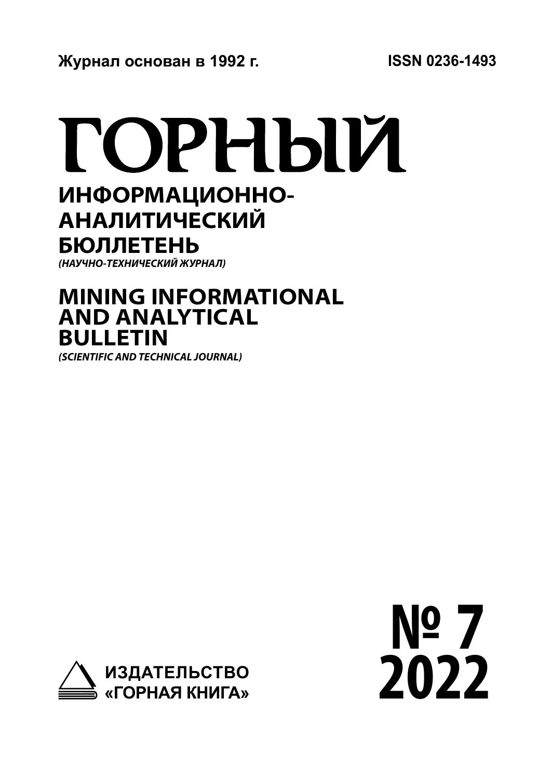# ГОРНЫЙ

# **ИНФОРМАЦИОННО-АНАЛИТИЧЕСКИЙ БЮЛЛЕТЕНЬ**

*(НАУЧНО-ТЕХНИЧЕСКИЙ ЖУРНАЛ)*

# **MINING INFORMATIONAL AND ANALYTICAL BULLETIN**

*(SCIENTIFIC AND TECHNICAL JOURNAL)*